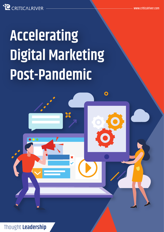**C** CRITICALRIVER

# **Accelerating Digital Marketing Post-Pandemic**

 $\mathbf O$ 

Thought **Leadership**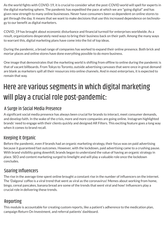As the world fights with COVID-19, it is crucial to consider what the post-COVID world will spell for experts in the digital marketing sphere. The pandemic has expedited the pace at which we are "going digital" and has given new strength to many online businesses. Never have consumers been so dependent on online stores to get through the day. It means that we want to make decisions that use this increased dependence on technology to our benefit as digital marketers.

COVID\_19 has brought about economic disturbance and financial turmoil for enterprises worldwide. As a result, organizations desperately need ways to bring their business back on their path. Among the many ways to warrant this, digital marketing plans have come into the list of top ideas.

During the pandemic, a broad range of companies has worked to expand their online presence. Both brick and mortar places and online stores have done everything possible to do more business.

One image that demonstrates that the marketing world is shifting from offline to online during the pandemic is that of vacant billboards. From Tokyo to Toronto, outside advertising canvases that were once in great demand are blank as marketers spill all their resources into online channels. And in most enterprises, it is expected to remain that way.

## Here are various segments in which digital marketing will play a crucial role post-pandemic:

#### A Surge in Social Media Presence

A significant social media presence has always been crucial for brands to interact, meet consumer demands, and develop faith. In the wake of the crisis, more and more companies are going online. Instagram highlighted brands' need to engage with their clients quickly and designed AR Filters. This exciting feature goes a long way when it comes to brand recall.

#### Keeping it Organic

Before the pandemic, even if brands had an organic marketing strategy, their focus was on paid advertising because it guaranteed fast outcomes. However, with the lockdown, paid advertising came to a crushing pause. With brand visibility going downhill, brands began to understand the value of having an organic strategy in place. SEO and content marketing surged to limelight and will play a valuable role once the lockdown concludes.

#### Soaring Influencers

The rise in the average time spent online brought a constant rise in the number of influencers on the internet. The 'Dalgona' coffee is a viral trend that went as viral as the coronavirus! Memes about working from home, bingo, cereal pancakes, banana bread are some of the trends that went viral and how! Influencers play a crucial role in delivering these trends.

### Reporting

This module is accountable for creating custom reports, like a patient's adherence to the medication plan, campaign Return On Investment, and referral patients' dashboard.